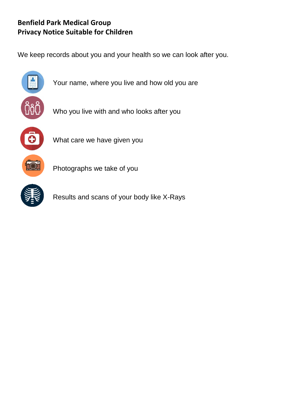## **Benfield Park Medical Group Privacy Notice Suitable for Children**

We keep records about you and your health so we can look after you.



Your name, where you live and how old you are

Who you live with and who looks after you



What care we have given you

Photographs we take of you

Results and scans of your body like X-Rays